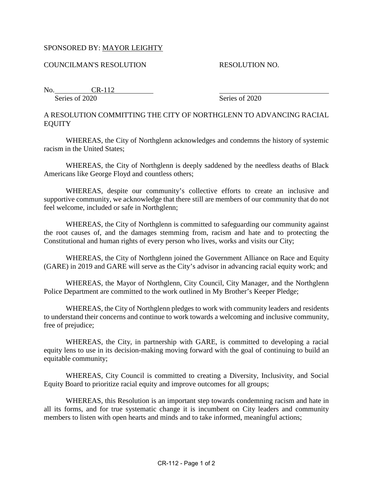## SPONSORED BY: MAYOR LEIGHTY

## COUNCILMAN'S RESOLUTION RESOLUTION NO.

No. CR-112 Series of 2020 Series of 2020

## A RESOLUTION COMMITTING THE CITY OF NORTHGLENN TO ADVANCING RACIAL EQUITY

WHEREAS, the City of Northglenn acknowledges and condemns the history of systemic racism in the United States;

WHEREAS, the City of Northglenn is deeply saddened by the needless deaths of Black Americans like George Floyd and countless others;

WHEREAS, despite our community's collective efforts to create an inclusive and supportive community, we acknowledge that there still are members of our community that do not feel welcome, included or safe in Northglenn;

WHEREAS, the City of Northglenn is committed to safeguarding our community against the root causes of, and the damages stemming from, racism and hate and to protecting the Constitutional and human rights of every person who lives, works and visits our City;

WHEREAS, the City of Northglenn joined the Government Alliance on Race and Equity (GARE) in 2019 and GARE will serve as the City's advisor in advancing racial equity work; and

WHEREAS, the Mayor of Northglenn, City Council, City Manager, and the Northglenn Police Department are committed to the work outlined in My Brother's Keeper Pledge;

WHEREAS, the City of Northglenn pledges to work with community leaders and residents to understand their concerns and continue to work towards a welcoming and inclusive community, free of prejudice;

WHEREAS, the City, in partnership with GARE, is committed to developing a racial equity lens to use in its decision-making moving forward with the goal of continuing to build an equitable community;

WHEREAS, City Council is committed to creating a Diversity, Inclusivity, and Social Equity Board to prioritize racial equity and improve outcomes for all groups;

WHEREAS, this Resolution is an important step towards condemning racism and hate in all its forms, and for true systematic change it is incumbent on City leaders and community members to listen with open hearts and minds and to take informed, meaningful actions;